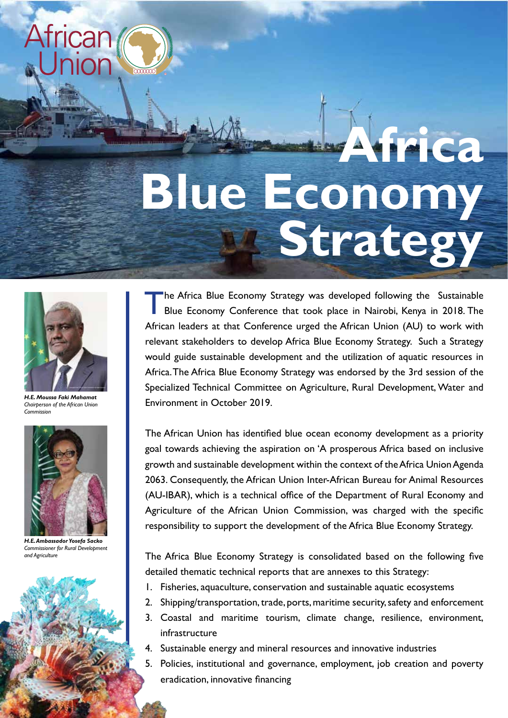

## **Africa Blue Economy Strategy**



*H.E. Moussa Faki Mahamat Chairperson of the African Union Commission*



*H.E. Ambassador Yosefa Sacko Commissioner for Rural Development and Agriculture*

The Africa Blue Economy Strategy was developed following the Sustainable Blue Economy Conference that took place in Nairobi, Kenya in 2018. The African leaders at that Conference urged the African Union (AU) to work with relevant stakeholders to develop Africa Blue Economy Strategy. Such a Strategy would guide sustainable development and the utilization of aquatic resources in Africa. The Africa Blue Economy Strategy was endorsed by the 3rd session of the Specialized Technical Committee on Agriculture, Rural Development, Water and Environment in October 2019.

The African Union has identified blue ocean economy development as a priority goal towards achieving the aspiration on 'A prosperous Africa based on inclusive growth and sustainable development within the context of the Africa Union Agenda 2063. Consequently, the African Union Inter-African Bureau for Animal Resources (AU-IBAR), which is a technical office of the Department of Rural Economy and Agriculture of the African Union Commission, was charged with the specific responsibility to support the development of the Africa Blue Economy Strategy.

The Africa Blue Economy Strategy is consolidated based on the following five detailed thematic technical reports that are annexes to this Strategy:

- 1. Fisheries, aquaculture, conservation and sustainable aquatic ecosystems
- 2. Shipping/transportation, trade, ports, maritime security, safety and enforcement
- 3. Coastal and maritime tourism, climate change, resilience, environment, infrastructure
- 4. Sustainable energy and mineral resources and innovative industries
- 5. Policies, institutional and governance, employment, job creation and poverty eradication, innovative financing